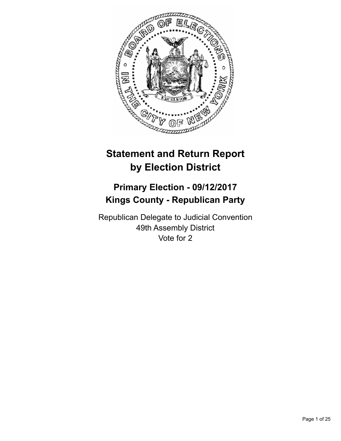

# **Statement and Return Report by Election District**

## **Primary Election - 09/12/2017 Kings County - Republican Party**

Republican Delegate to Judicial Convention 49th Assembly District Vote for 2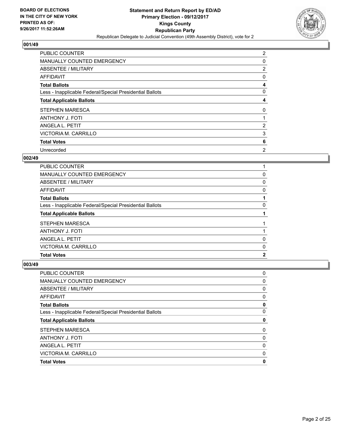

| <b>PUBLIC COUNTER</b>                                    | $\overline{2}$ |
|----------------------------------------------------------|----------------|
| MANUALLY COUNTED EMERGENCY                               | 0              |
| ABSENTEE / MILITARY                                      | 2              |
| AFFIDAVIT                                                | 0              |
| <b>Total Ballots</b>                                     | 4              |
| Less - Inapplicable Federal/Special Presidential Ballots | 0              |
| <b>Total Applicable Ballots</b>                          | 4              |
| STEPHEN MARESCA                                          | 0              |
| ANTHONY J. FOTI                                          |                |
| ANGELA L. PETIT                                          | 2              |
| <b>VICTORIA M. CARRILLO</b>                              | 3              |
| <b>Total Votes</b>                                       | 6              |
| Unrecorded                                               | $\overline{2}$ |

## **002/49**

| ANGELA L. PETIT                                          | 0 |
|----------------------------------------------------------|---|
| <b>STEPHEN MARESCA</b><br><b>ANTHONY J. FOTI</b>         |   |
| <b>Total Applicable Ballots</b>                          |   |
| Less - Inapplicable Federal/Special Presidential Ballots | 0 |
| <b>Total Ballots</b>                                     |   |
| AFFIDAVIT                                                | 0 |
| ABSENTEE / MILITARY                                      | 0 |
| <b>MANUALLY COUNTED EMERGENCY</b>                        | 0 |
| PUBLIC COUNTER                                           |   |

| PUBLIC COUNTER                                           | 0 |
|----------------------------------------------------------|---|
| <b>MANUALLY COUNTED EMERGENCY</b>                        | 0 |
| ABSENTEE / MILITARY                                      | 0 |
| <b>AFFIDAVIT</b>                                         | 0 |
| <b>Total Ballots</b>                                     | 0 |
| Less - Inapplicable Federal/Special Presidential Ballots | 0 |
| <b>Total Applicable Ballots</b>                          | 0 |
| STEPHEN MARESCA                                          | 0 |
| <b>ANTHONY J. FOTI</b>                                   | 0 |
| ANGELA L. PETIT                                          | 0 |
| VICTORIA M. CARRILLO                                     | 0 |
| <b>Total Votes</b>                                       | 0 |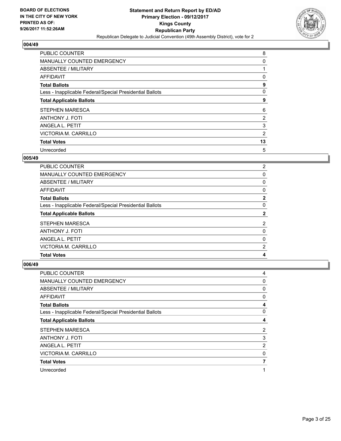

| <b>PUBLIC COUNTER</b>                                    | 8  |
|----------------------------------------------------------|----|
| MANUALLY COUNTED EMERGENCY                               | 0  |
| ABSENTEE / MILITARY                                      |    |
| AFFIDAVIT                                                | 0  |
| <b>Total Ballots</b>                                     | 9  |
| Less - Inapplicable Federal/Special Presidential Ballots | 0  |
| <b>Total Applicable Ballots</b>                          | 9  |
| STEPHEN MARESCA                                          | 6  |
| ANTHONY J. FOTI                                          | 2  |
| ANGELA L. PETIT                                          | 3  |
| VICTORIA M. CARRILLO                                     | 2  |
| <b>Total Votes</b>                                       | 13 |
| Unrecorded                                               | 5  |

## **005/49**

| <b>PUBLIC COUNTER</b>                                    | $\overline{2}$ |
|----------------------------------------------------------|----------------|
| MANUALLY COUNTED EMERGENCY                               | 0              |
| ABSENTEE / MILITARY                                      | 0              |
| AFFIDAVIT                                                | 0              |
| <b>Total Ballots</b>                                     | $\mathbf{2}$   |
| Less - Inapplicable Federal/Special Presidential Ballots | 0              |
| <b>Total Applicable Ballots</b>                          | 2              |
| STEPHEN MARESCA                                          | 2              |
| <b>ANTHONY J. FOTI</b>                                   | 0              |
| ANGELA L. PETIT                                          | 0              |
| VICTORIA M. CARRILLO                                     | 2              |
| <b>Total Votes</b>                                       | 4              |

| PUBLIC COUNTER                                           | 4 |
|----------------------------------------------------------|---|
| <b>MANUALLY COUNTED EMERGENCY</b>                        | 0 |
| ABSENTEE / MILITARY                                      | 0 |
| AFFIDAVIT                                                | 0 |
| <b>Total Ballots</b>                                     | 4 |
| Less - Inapplicable Federal/Special Presidential Ballots | 0 |
| <b>Total Applicable Ballots</b>                          | 4 |
| <b>STEPHEN MARESCA</b>                                   | 2 |
| <b>ANTHONY J. FOTI</b>                                   | 3 |
| ANGELA L. PETIT                                          | 2 |
| VICTORIA M. CARRILLO                                     | 0 |
| <b>Total Votes</b>                                       | 7 |
| Unrecorded                                               |   |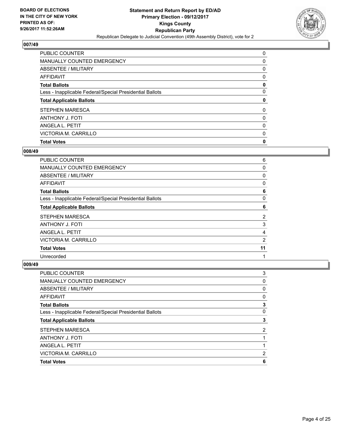

| <b>PUBLIC COUNTER</b>                                    | 0 |
|----------------------------------------------------------|---|
| MANUALLY COUNTED EMERGENCY                               | 0 |
| ABSENTEE / MILITARY                                      | 0 |
| AFFIDAVIT                                                | 0 |
| <b>Total Ballots</b>                                     | 0 |
| Less - Inapplicable Federal/Special Presidential Ballots | 0 |
| <b>Total Applicable Ballots</b>                          | 0 |
| <b>STEPHEN MARESCA</b>                                   | 0 |
| <b>ANTHONY J. FOTI</b>                                   | 0 |
| ANGELA L. PETIT                                          | 0 |
| VICTORIA M. CARRILLO                                     | 0 |
| <b>Total Votes</b>                                       | 0 |

## **008/49**

| <b>PUBLIC COUNTER</b>                                    | 6  |
|----------------------------------------------------------|----|
| MANUALLY COUNTED EMERGENCY                               | 0  |
| ABSENTEE / MILITARY                                      | 0  |
| AFFIDAVIT                                                | 0  |
| <b>Total Ballots</b>                                     | 6  |
| Less - Inapplicable Federal/Special Presidential Ballots | 0  |
| <b>Total Applicable Ballots</b>                          | 6  |
| STEPHEN MARESCA                                          | 2  |
| <b>ANTHONY J. FOTI</b>                                   | 3  |
| ANGELA L. PETIT                                          | 4  |
| VICTORIA M. CARRILLO                                     | 2  |
| <b>Total Votes</b>                                       | 11 |
| Unrecorded                                               | 1  |

| <b>PUBLIC COUNTER</b>                                    | 3 |
|----------------------------------------------------------|---|
| <b>MANUALLY COUNTED EMERGENCY</b>                        | 0 |
| ABSENTEE / MILITARY                                      | 0 |
| AFFIDAVIT                                                | 0 |
| <b>Total Ballots</b>                                     | 3 |
| Less - Inapplicable Federal/Special Presidential Ballots | 0 |
| <b>Total Applicable Ballots</b>                          | 3 |
| <b>STEPHEN MARESCA</b>                                   | 2 |
| <b>ANTHONY J. FOTI</b>                                   |   |
| ANGELA L. PETIT                                          |   |
| VICTORIA M. CARRILLO                                     | 2 |
| <b>Total Votes</b>                                       | 6 |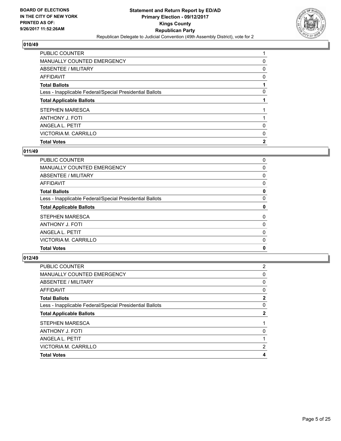

| PUBLIC COUNTER                                           |              |
|----------------------------------------------------------|--------------|
| MANUALLY COUNTED EMERGENCY                               | 0            |
| ABSENTEE / MILITARY                                      | 0            |
| AFFIDAVIT                                                | 0            |
| <b>Total Ballots</b>                                     |              |
| Less - Inapplicable Federal/Special Presidential Ballots | 0            |
| <b>Total Applicable Ballots</b>                          |              |
| <b>STEPHEN MARESCA</b>                                   |              |
| <b>ANTHONY J. FOTI</b>                                   |              |
| ANGELA L. PETIT                                          | 0            |
| VICTORIA M. CARRILLO                                     | 0            |
| <b>Total Votes</b>                                       | $\mathbf{2}$ |

## **011/49**

| <b>PUBLIC COUNTER</b>                                    | 0 |
|----------------------------------------------------------|---|
| MANUALLY COUNTED EMERGENCY                               | 0 |
| ABSENTEE / MILITARY                                      | 0 |
| AFFIDAVIT                                                | 0 |
| <b>Total Ballots</b>                                     | 0 |
| Less - Inapplicable Federal/Special Presidential Ballots | 0 |
| <b>Total Applicable Ballots</b>                          | 0 |
| <b>STEPHEN MARESCA</b>                                   | 0 |
| ANTHONY J. FOTI                                          | 0 |
| ANGELA L. PETIT                                          | 0 |
| VICTORIA M. CARRILLO                                     | 0 |
| <b>Total Votes</b>                                       | 0 |
|                                                          |   |

| <b>PUBLIC COUNTER</b>                                    | 2        |
|----------------------------------------------------------|----------|
| <b>MANUALLY COUNTED EMERGENCY</b>                        | $\Omega$ |
| ABSENTEE / MILITARY                                      | 0        |
| <b>AFFIDAVIT</b>                                         | 0        |
| <b>Total Ballots</b>                                     | 2        |
| Less - Inapplicable Federal/Special Presidential Ballots | 0        |
| <b>Total Applicable Ballots</b>                          | 2        |
| <b>STEPHEN MARESCA</b>                                   |          |
| ANTHONY J. FOTI                                          | 0        |
| ANGELA L. PETIT                                          |          |
| VICTORIA M. CARRILLO                                     | 2        |
| <b>Total Votes</b>                                       | 4        |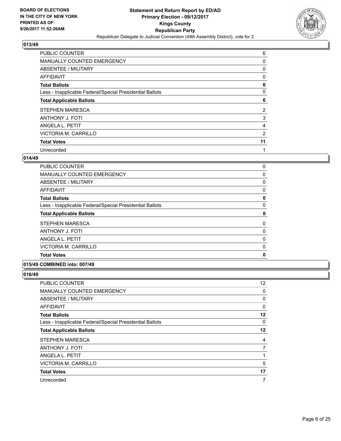

| <b>PUBLIC COUNTER</b>                                    | 6  |
|----------------------------------------------------------|----|
| MANUALLY COUNTED EMERGENCY                               | 0  |
| ABSENTEE / MILITARY                                      | 0  |
| AFFIDAVIT                                                | 0  |
| <b>Total Ballots</b>                                     | 6  |
| Less - Inapplicable Federal/Special Presidential Ballots | 0  |
| <b>Total Applicable Ballots</b>                          | 6  |
| STEPHEN MARESCA                                          | 2  |
| <b>ANTHONY J. FOTI</b>                                   | 3  |
| ANGELA L. PETIT                                          | 4  |
| VICTORIA M. CARRILLO                                     | 2  |
| <b>Total Votes</b>                                       | 11 |
| Unrecorded                                               | 1  |

## **014/49**

| <b>PUBLIC COUNTER</b>                                    | 0            |
|----------------------------------------------------------|--------------|
| <b>MANUALLY COUNTED EMERGENCY</b>                        | 0            |
| ABSENTEE / MILITARY                                      | 0            |
| AFFIDAVIT                                                | 0            |
| <b>Total Ballots</b>                                     | 0            |
| Less - Inapplicable Federal/Special Presidential Ballots | 0            |
| <b>Total Applicable Ballots</b>                          | 0            |
| <b>STEPHEN MARESCA</b>                                   | 0            |
| <b>ANTHONY J. FOTI</b>                                   | 0            |
| ANGELA L. PETIT                                          | $\mathbf{0}$ |
| VICTORIA M. CARRILLO                                     | 0            |
| <b>Total Votes</b>                                       | 0            |
|                                                          |              |

#### **015/49 COMBINED into: 007/49**

| PUBLIC COUNTER                                           | 12 <sup>°</sup> |
|----------------------------------------------------------|-----------------|
| <b>MANUALLY COUNTED EMERGENCY</b>                        | 0               |
| <b>ABSENTEE / MILITARY</b>                               | 0               |
| AFFIDAVIT                                                | 0               |
| <b>Total Ballots</b>                                     | $12 \,$         |
| Less - Inapplicable Federal/Special Presidential Ballots | 0               |
| <b>Total Applicable Ballots</b>                          | $12 \,$         |
| STEPHEN MARESCA                                          | 4               |
| <b>ANTHONY J. FOTI</b>                                   | 7               |
| ANGELA L. PETIT                                          | 1               |
| VICTORIA M. CARRILLO                                     | 5               |
| <b>Total Votes</b>                                       | 17              |
| Unrecorded                                               | 7               |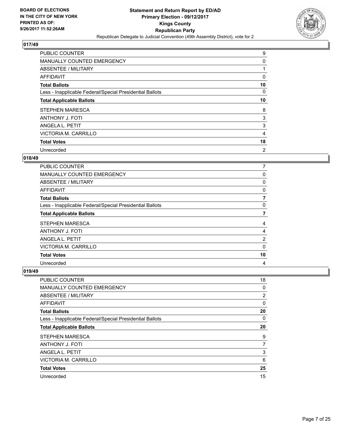

| PUBLIC COUNTER                                           | 9              |
|----------------------------------------------------------|----------------|
| MANUALLY COUNTED EMERGENCY                               | 0              |
| ABSENTEE / MILITARY                                      |                |
| AFFIDAVIT                                                | 0              |
| <b>Total Ballots</b>                                     | 10             |
| Less - Inapplicable Federal/Special Presidential Ballots | 0              |
| <b>Total Applicable Ballots</b>                          | 10             |
| STEPHEN MARESCA                                          | 8              |
| <b>ANTHONY J. FOTI</b>                                   | 3              |
| ANGELA L. PETIT                                          | 3              |
| VICTORIA M. CARRILLO                                     | 4              |
| <b>Total Votes</b>                                       | 18             |
| Unrecorded                                               | $\overline{2}$ |

## **018/49**

| <b>PUBLIC COUNTER</b>                                    | 7        |
|----------------------------------------------------------|----------|
| MANUALLY COUNTED EMERGENCY                               | 0        |
| ABSENTEE / MILITARY                                      | 0        |
| AFFIDAVIT                                                | 0        |
| <b>Total Ballots</b>                                     | 7        |
| Less - Inapplicable Federal/Special Presidential Ballots | 0        |
| <b>Total Applicable Ballots</b>                          |          |
| <b>STEPHEN MARESCA</b>                                   | 4        |
| <b>ANTHONY J. FOTI</b>                                   | 4        |
| ANGELA L. PETIT                                          | 2        |
| VICTORIA M. CARRILLO                                     | $\Omega$ |
| <b>Total Votes</b>                                       | 10       |
| Unrecorded                                               | 4        |

| <b>PUBLIC COUNTER</b>                                    | 18             |
|----------------------------------------------------------|----------------|
| <b>MANUALLY COUNTED EMERGENCY</b>                        | 0              |
| ABSENTEE / MILITARY                                      | $\overline{2}$ |
| AFFIDAVIT                                                | 0              |
| <b>Total Ballots</b>                                     | 20             |
| Less - Inapplicable Federal/Special Presidential Ballots | 0              |
| <b>Total Applicable Ballots</b>                          | 20             |
| STEPHEN MARESCA                                          | 9              |
| ANTHONY J. FOTI                                          | 7              |
| ANGELA L. PETIT                                          | 3              |
| <b>VICTORIA M. CARRILLO</b>                              | 6              |
| <b>Total Votes</b>                                       | 25             |
| Unrecorded                                               | 15             |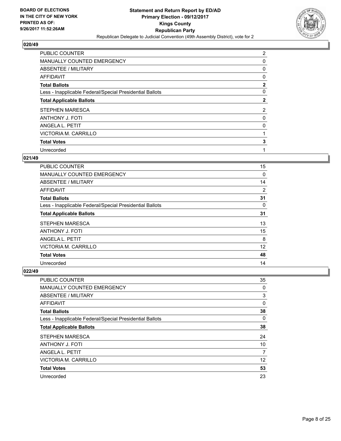

| PUBLIC COUNTER                                           | $\overline{2}$ |
|----------------------------------------------------------|----------------|
| MANUALLY COUNTED EMERGENCY                               | 0              |
| ABSENTEE / MILITARY                                      | 0              |
| AFFIDAVIT                                                | 0              |
| <b>Total Ballots</b>                                     | $\mathbf{2}$   |
| Less - Inapplicable Federal/Special Presidential Ballots | 0              |
| <b>Total Applicable Ballots</b>                          | $\mathbf{2}$   |
| STEPHEN MARESCA                                          | $\overline{2}$ |
| <b>ANTHONY J. FOTI</b>                                   | 0              |
| ANGELA L. PETIT                                          | 0              |
| VICTORIA M. CARRILLO                                     |                |
| <b>Total Votes</b>                                       | 3              |
| Unrecorded                                               | 1              |

## **021/49**

| <b>PUBLIC COUNTER</b>                                    | 15       |
|----------------------------------------------------------|----------|
| <b>MANUALLY COUNTED EMERGENCY</b>                        | $\Omega$ |
| ABSENTEE / MILITARY                                      | 14       |
| AFFIDAVIT                                                | 2        |
| <b>Total Ballots</b>                                     | 31       |
| Less - Inapplicable Federal/Special Presidential Ballots | 0        |
| <b>Total Applicable Ballots</b>                          | 31       |
| <b>STEPHEN MARESCA</b>                                   | 13       |
| <b>ANTHONY J. FOTI</b>                                   | 15       |
| ANGELA L. PETIT                                          | 8        |
| <b>VICTORIA M. CARRILLO</b>                              | 12       |
| <b>Total Votes</b>                                       | 48       |
| Unrecorded                                               | 14       |

| <b>PUBLIC COUNTER</b>                                    | 35 |
|----------------------------------------------------------|----|
| <b>MANUALLY COUNTED EMERGENCY</b>                        | 0  |
| ABSENTEE / MILITARY                                      | 3  |
| AFFIDAVIT                                                | 0  |
| <b>Total Ballots</b>                                     | 38 |
| Less - Inapplicable Federal/Special Presidential Ballots | 0  |
| <b>Total Applicable Ballots</b>                          | 38 |
| STEPHEN MARESCA                                          | 24 |
| <b>ANTHONY J. FOTI</b>                                   | 10 |
| ANGELA L. PETIT                                          | 7  |
| <b>VICTORIA M. CARRILLO</b>                              | 12 |
| <b>Total Votes</b>                                       | 53 |
| Unrecorded                                               | 23 |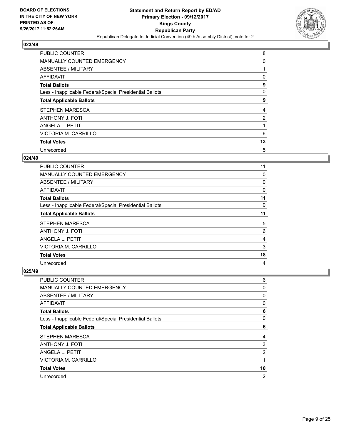

| PUBLIC COUNTER                                           | 8  |
|----------------------------------------------------------|----|
| MANUALLY COUNTED EMERGENCY                               | 0  |
| ABSENTEE / MILITARY                                      |    |
| AFFIDAVIT                                                | 0  |
| <b>Total Ballots</b>                                     | 9  |
| Less - Inapplicable Federal/Special Presidential Ballots | 0  |
| <b>Total Applicable Ballots</b>                          | 9  |
| STEPHEN MARESCA                                          | 4  |
| <b>ANTHONY J. FOTI</b>                                   | 2  |
| ANGELA L. PETIT                                          |    |
| VICTORIA M. CARRILLO                                     | 6  |
| <b>Total Votes</b>                                       | 13 |
| Unrecorded                                               | 5  |

## **024/49**

| PUBLIC COUNTER                                           | 11 |
|----------------------------------------------------------|----|
| MANUALLY COUNTED EMERGENCY                               | 0  |
| ABSENTEE / MILITARY                                      | 0  |
| AFFIDAVIT                                                | 0  |
| <b>Total Ballots</b>                                     | 11 |
| Less - Inapplicable Federal/Special Presidential Ballots | 0  |
| <b>Total Applicable Ballots</b>                          | 11 |
| <b>STEPHEN MARESCA</b>                                   | 5  |
| <b>ANTHONY J. FOTI</b>                                   | 6  |
| ANGELA L. PETIT                                          | 4  |
| VICTORIA M. CARRILLO                                     | 3  |
| <b>Total Votes</b>                                       | 18 |
| Unrecorded                                               | 4  |

| <b>PUBLIC COUNTER</b>                                    | 6              |
|----------------------------------------------------------|----------------|
| MANUALLY COUNTED EMERGENCY                               | 0              |
| ABSENTEE / MILITARY                                      | 0              |
| AFFIDAVIT                                                | 0              |
| <b>Total Ballots</b>                                     | 6              |
| Less - Inapplicable Federal/Special Presidential Ballots | 0              |
| <b>Total Applicable Ballots</b>                          | 6              |
| STEPHEN MARESCA                                          | 4              |
| <b>ANTHONY J. FOTI</b>                                   | 3              |
| ANGELA L. PETIT                                          | 2              |
| VICTORIA M. CARRILLO                                     | 1              |
| <b>Total Votes</b>                                       | 10             |
| Unrecorded                                               | $\overline{2}$ |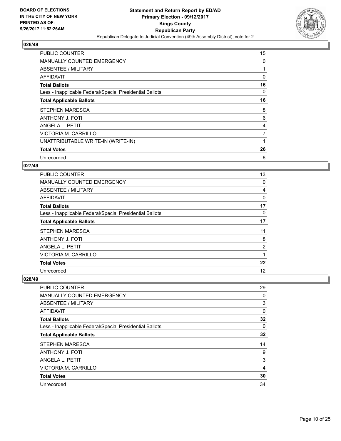

| <b>PUBLIC COUNTER</b>                                    | 15 |
|----------------------------------------------------------|----|
| <b>MANUALLY COUNTED EMERGENCY</b>                        | 0  |
| ABSENTEE / MILITARY                                      |    |
| AFFIDAVIT                                                | 0  |
| <b>Total Ballots</b>                                     | 16 |
| Less - Inapplicable Federal/Special Presidential Ballots | 0  |
| <b>Total Applicable Ballots</b>                          | 16 |
| <b>STEPHEN MARESCA</b>                                   | 8  |
| <b>ANTHONY J. FOTI</b>                                   | 6  |
| ANGELA L. PETIT                                          | 4  |
| VICTORIA M. CARRILLO                                     | 7  |
| UNATTRIBUTABLE WRITE-IN (WRITE-IN)                       |    |
| <b>Total Votes</b>                                       | 26 |
| Unrecorded                                               | 6  |

## **027/49**

| <b>PUBLIC COUNTER</b>                                    | 13             |
|----------------------------------------------------------|----------------|
| <b>MANUALLY COUNTED EMERGENCY</b>                        | 0              |
| ABSENTEE / MILITARY                                      | 4              |
| <b>AFFIDAVIT</b>                                         | 0              |
| <b>Total Ballots</b>                                     | 17             |
| Less - Inapplicable Federal/Special Presidential Ballots | 0              |
| <b>Total Applicable Ballots</b>                          | 17             |
| STEPHEN MARESCA                                          | 11             |
| <b>ANTHONY J. FOTI</b>                                   | 8              |
| ANGELA L. PETIT                                          | $\overline{2}$ |
| VICTORIA M. CARRILLO                                     | 1              |
| <b>Total Votes</b>                                       | 22             |
| Unrecorded                                               | 12             |

| PUBLIC COUNTER                                           | 29 |
|----------------------------------------------------------|----|
| <b>MANUALLY COUNTED EMERGENCY</b>                        | 0  |
| ABSENTEE / MILITARY                                      | 3  |
| AFFIDAVIT                                                | 0  |
| <b>Total Ballots</b>                                     | 32 |
| Less - Inapplicable Federal/Special Presidential Ballots | 0  |
| <b>Total Applicable Ballots</b>                          | 32 |
| <b>STEPHEN MARESCA</b>                                   | 14 |
| <b>ANTHONY J. FOTI</b>                                   | 9  |
| ANGELA L. PETIT                                          | 3  |
| VICTORIA M. CARRILLO                                     | 4  |
| <b>Total Votes</b>                                       | 30 |
| Unrecorded                                               | 34 |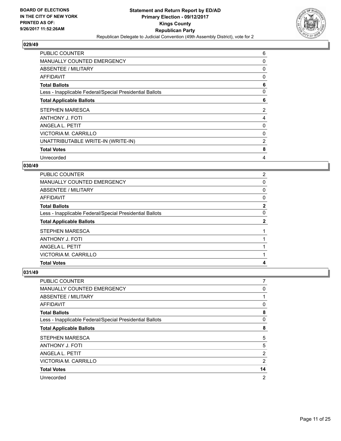

| <b>PUBLIC COUNTER</b>                                    | 6 |
|----------------------------------------------------------|---|
| MANUALLY COUNTED EMERGENCY                               | 0 |
| ABSENTEE / MILITARY                                      | 0 |
| <b>AFFIDAVIT</b>                                         | 0 |
| <b>Total Ballots</b>                                     | 6 |
| Less - Inapplicable Federal/Special Presidential Ballots | 0 |
| <b>Total Applicable Ballots</b>                          | 6 |
| <b>STEPHEN MARESCA</b>                                   | 2 |
| <b>ANTHONY J. FOTI</b>                                   | 4 |
| ANGELA L. PETIT                                          | 0 |
| VICTORIA M. CARRILLO                                     | 0 |
| UNATTRIBUTABLE WRITE-IN (WRITE-IN)                       | 2 |
| <b>Total Votes</b>                                       | 8 |
| Unrecorded                                               | 4 |

## **030/49**

| <b>PUBLIC COUNTER</b>                                    | 2 |
|----------------------------------------------------------|---|
| MANUALLY COUNTED EMERGENCY                               | 0 |
| ABSENTEE / MILITARY                                      | 0 |
| AFFIDAVIT                                                | 0 |
| <b>Total Ballots</b>                                     | 2 |
| Less - Inapplicable Federal/Special Presidential Ballots | 0 |
| <b>Total Applicable Ballots</b>                          | 2 |
| STEPHEN MARESCA                                          |   |
| <b>ANTHONY J. FOTI</b>                                   |   |
| ANGELA L. PETIT                                          |   |
| VICTORIA M. CARRILLO                                     |   |
| <b>Total Votes</b>                                       | 4 |

| <b>PUBLIC COUNTER</b>                                    | 7  |
|----------------------------------------------------------|----|
| <b>MANUALLY COUNTED EMERGENCY</b>                        | 0  |
| ABSENTEE / MILITARY                                      |    |
| AFFIDAVIT                                                | 0  |
| <b>Total Ballots</b>                                     | 8  |
| Less - Inapplicable Federal/Special Presidential Ballots | 0  |
| <b>Total Applicable Ballots</b>                          | 8  |
| <b>STEPHEN MARESCA</b>                                   | 5  |
| ANTHONY J. FOTI                                          | 5  |
| ANGELA L. PETIT                                          | 2  |
| VICTORIA M. CARRILLO                                     | 2  |
| <b>Total Votes</b>                                       | 14 |
| Unrecorded                                               | 2  |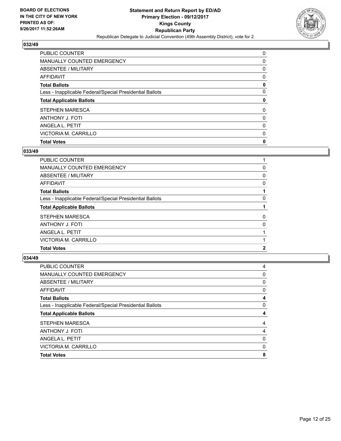

| <b>PUBLIC COUNTER</b>                                    | 0 |
|----------------------------------------------------------|---|
| MANUALLY COUNTED EMERGENCY                               | 0 |
| ABSENTEE / MILITARY                                      | 0 |
| AFFIDAVIT                                                | 0 |
| <b>Total Ballots</b>                                     | 0 |
| Less - Inapplicable Federal/Special Presidential Ballots | 0 |
| <b>Total Applicable Ballots</b>                          | 0 |
| <b>STEPHEN MARESCA</b>                                   | 0 |
| <b>ANTHONY J. FOTI</b>                                   | 0 |
| ANGELA L. PETIT                                          | 0 |
| VICTORIA M. CARRILLO                                     | 0 |
| <b>Total Votes</b>                                       | 0 |

## **033/49**

| PUBLIC COUNTER                                           |   |
|----------------------------------------------------------|---|
| MANUALLY COUNTED EMERGENCY                               | 0 |
| ABSENTEE / MILITARY                                      | 0 |
| AFFIDAVIT                                                | 0 |
| <b>Total Ballots</b>                                     |   |
| Less - Inapplicable Federal/Special Presidential Ballots | 0 |
| <b>Total Applicable Ballots</b>                          |   |
| <b>STEPHEN MARESCA</b>                                   | 0 |
| <b>ANTHONY J. FOTI</b>                                   | 0 |
| ANGELA L. PETIT                                          |   |
| VICTORIA M. CARRILLO                                     |   |
| <b>Total Votes</b>                                       | 2 |

| <b>PUBLIC COUNTER</b>                                    | 4 |
|----------------------------------------------------------|---|
| <b>MANUALLY COUNTED EMERGENCY</b>                        | 0 |
| ABSENTEE / MILITARY                                      | 0 |
| AFFIDAVIT                                                | 0 |
| <b>Total Ballots</b>                                     | 4 |
| Less - Inapplicable Federal/Special Presidential Ballots | 0 |
| <b>Total Applicable Ballots</b>                          | 4 |
| <b>STEPHEN MARESCA</b>                                   | 4 |
| <b>ANTHONY J. FOTI</b>                                   | 4 |
| ANGELA L. PETIT                                          | 0 |
| VICTORIA M. CARRILLO                                     | 0 |
| <b>Total Votes</b>                                       | 8 |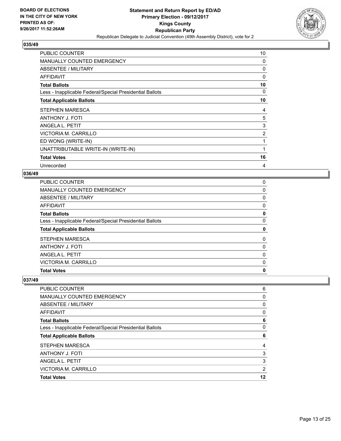

| <b>PUBLIC COUNTER</b>                                    | 10 |
|----------------------------------------------------------|----|
| MANUALLY COUNTED EMERGENCY                               | 0  |
| ABSENTEE / MILITARY                                      | 0  |
| AFFIDAVIT                                                | 0  |
| <b>Total Ballots</b>                                     | 10 |
| Less - Inapplicable Federal/Special Presidential Ballots | 0  |
| <b>Total Applicable Ballots</b>                          | 10 |
| STEPHEN MARESCA                                          | 4  |
| <b>ANTHONY J. FOTI</b>                                   | 5  |
| ANGELA L. PETIT                                          | 3  |
| VICTORIA M. CARRILLO                                     | 2  |
| ED WONG (WRITE-IN)                                       |    |
| UNATTRIBUTABLE WRITE-IN (WRITE-IN)                       | 1  |
| <b>Total Votes</b>                                       | 16 |
| Unrecorded                                               | 4  |

## **036/49**

| <b>PUBLIC COUNTER</b>                                    | 0        |
|----------------------------------------------------------|----------|
| <b>MANUALLY COUNTED EMERGENCY</b>                        | 0        |
| ABSENTEE / MILITARY                                      | $\Omega$ |
| <b>AFFIDAVIT</b>                                         | 0        |
| <b>Total Ballots</b>                                     | 0        |
| Less - Inapplicable Federal/Special Presidential Ballots | 0        |
| <b>Total Applicable Ballots</b>                          | 0        |
| <b>STEPHEN MARESCA</b>                                   | 0        |
| <b>ANTHONY J. FOTI</b>                                   | 0        |
| ANGELA L. PETIT                                          | 0        |
| VICTORIA M. CARRILLO                                     | 0        |
| <b>Total Votes</b>                                       | 0        |

| 6  |
|----|
| 0  |
| 0  |
| 0  |
| 6  |
| 0  |
| 6  |
| 4  |
| 3  |
| 3  |
| 2  |
| 12 |
|    |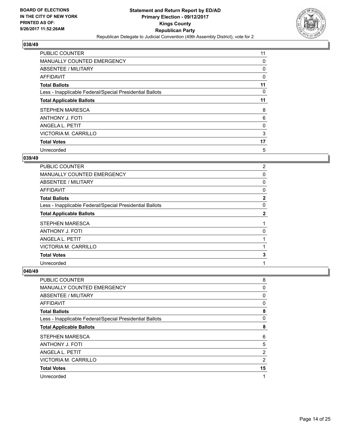

| <b>PUBLIC COUNTER</b>                                    | 11 |
|----------------------------------------------------------|----|
| <b>MANUALLY COUNTED EMERGENCY</b>                        | 0  |
| ABSENTEE / MILITARY                                      | 0  |
| AFFIDAVIT                                                | 0  |
| <b>Total Ballots</b>                                     | 11 |
| Less - Inapplicable Federal/Special Presidential Ballots | 0  |
| <b>Total Applicable Ballots</b>                          | 11 |
| <b>STEPHEN MARESCA</b>                                   | 8  |
| <b>ANTHONY J. FOTI</b>                                   | 6  |
| ANGELA L. PETIT                                          | 0  |
| VICTORIA M. CARRILLO                                     | 3  |
| <b>Total Votes</b>                                       | 17 |
| Unrecorded                                               | 5  |

## **039/49**

| PUBLIC COUNTER                                           | $\overline{2}$ |
|----------------------------------------------------------|----------------|
|                                                          |                |
| <b>MANUALLY COUNTED EMERGENCY</b>                        | 0              |
| ABSENTEE / MILITARY                                      | 0              |
| AFFIDAVIT                                                | 0              |
| <b>Total Ballots</b>                                     | $\mathbf{2}$   |
| Less - Inapplicable Federal/Special Presidential Ballots | 0              |
| <b>Total Applicable Ballots</b>                          | $\mathbf{2}$   |
| <b>STEPHEN MARESCA</b>                                   |                |
| <b>ANTHONY J. FOTI</b>                                   | 0              |
| ANGELA L. PETIT                                          |                |
| VICTORIA M. CARRILLO                                     |                |
| <b>Total Votes</b>                                       | 3              |
| Unrecorded                                               | 1              |

| 8              |
|----------------|
| 0              |
| 0              |
| 0              |
| 8              |
| 0              |
| 8              |
| 6              |
| 5              |
| 2              |
| $\overline{2}$ |
| 15             |
| $\mathbf 1$    |
|                |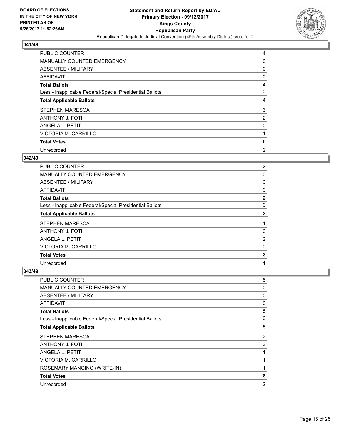

| PUBLIC COUNTER                                           | 4              |
|----------------------------------------------------------|----------------|
| MANUALLY COUNTED EMERGENCY                               | 0              |
| ABSENTEE / MILITARY                                      | 0              |
| AFFIDAVIT                                                | 0              |
| <b>Total Ballots</b>                                     | 4              |
| Less - Inapplicable Federal/Special Presidential Ballots | 0              |
| <b>Total Applicable Ballots</b>                          | 4              |
| STEPHEN MARESCA                                          | 3              |
| <b>ANTHONY J. FOTI</b>                                   | 2              |
| ANGELA L. PETIT                                          | 0              |
| VICTORIA M. CARRILLO                                     |                |
| <b>Total Votes</b>                                       | 6              |
| Unrecorded                                               | $\overline{2}$ |

## **042/49**

| PUBLIC COUNTER                                           | $\overline{2}$ |
|----------------------------------------------------------|----------------|
| <b>MANUALLY COUNTED EMERGENCY</b>                        | 0              |
| ABSENTEE / MILITARY                                      | 0              |
| AFFIDAVIT                                                | 0              |
| <b>Total Ballots</b>                                     | $\mathbf{2}$   |
| Less - Inapplicable Federal/Special Presidential Ballots | 0              |
| <b>Total Applicable Ballots</b>                          | $\mathbf{2}$   |
| <b>STEPHEN MARESCA</b>                                   |                |
| <b>ANTHONY J. FOTI</b>                                   | 0              |
| ANGELA L. PETIT                                          | 2              |
| VICTORIA M. CARRILLO                                     | 0              |
| <b>Total Votes</b>                                       | 3              |
| Unrecorded                                               | 1              |

| PUBLIC COUNTER                                           | 5              |
|----------------------------------------------------------|----------------|
| <b>MANUALLY COUNTED EMERGENCY</b>                        | 0              |
| ABSENTEE / MILITARY                                      | 0              |
| <b>AFFIDAVIT</b>                                         | 0              |
| <b>Total Ballots</b>                                     | 5              |
| Less - Inapplicable Federal/Special Presidential Ballots | 0              |
| <b>Total Applicable Ballots</b>                          | 5              |
| <b>STEPHEN MARESCA</b>                                   | 2              |
| <b>ANTHONY J. FOTI</b>                                   | 3              |
| ANGELA L. PETIT                                          |                |
| VICTORIA M. CARRILLO                                     |                |
| ROSEMARY MANGINO (WRITE-IN)                              |                |
| <b>Total Votes</b>                                       | 8              |
| Unrecorded                                               | $\overline{2}$ |
|                                                          |                |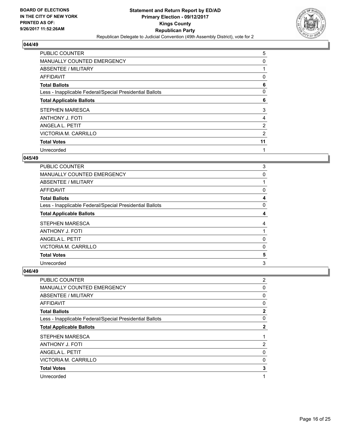

| <b>PUBLIC COUNTER</b>                                    | 5              |
|----------------------------------------------------------|----------------|
| MANUALLY COUNTED EMERGENCY                               | 0              |
| ABSENTEE / MILITARY                                      |                |
| AFFIDAVIT                                                | 0              |
| <b>Total Ballots</b>                                     | 6              |
| Less - Inapplicable Federal/Special Presidential Ballots | 0              |
| <b>Total Applicable Ballots</b>                          | 6              |
| STEPHEN MARESCA                                          | 3              |
| <b>ANTHONY J. FOTI</b>                                   | 4              |
| ANGELA L. PETIT                                          | $\overline{2}$ |
| VICTORIA M. CARRILLO                                     | 2              |
| <b>Total Votes</b>                                       | 11             |
| Unrecorded                                               | 1              |

## **045/49**

| PUBLIC COUNTER                                           | 3 |
|----------------------------------------------------------|---|
| <b>MANUALLY COUNTED EMERGENCY</b>                        | 0 |
| ABSENTEE / MILITARY                                      |   |
| AFFIDAVIT                                                | 0 |
| <b>Total Ballots</b>                                     | 4 |
| Less - Inapplicable Federal/Special Presidential Ballots | 0 |
| <b>Total Applicable Ballots</b>                          | 4 |
| <b>STEPHEN MARESCA</b>                                   | 4 |
| <b>ANTHONY J. FOTI</b>                                   |   |
| ANGELA L. PETIT                                          | 0 |
| VICTORIA M. CARRILLO                                     | 0 |
| <b>Total Votes</b>                                       | 5 |
| Unrecorded                                               | 3 |

| <b>PUBLIC COUNTER</b>                                    | $\overline{2}$ |
|----------------------------------------------------------|----------------|
| MANUALLY COUNTED EMERGENCY                               | 0              |
| ABSENTEE / MILITARY                                      | 0              |
| AFFIDAVIT                                                | 0              |
| <b>Total Ballots</b>                                     | $\mathbf{2}$   |
| Less - Inapplicable Federal/Special Presidential Ballots | 0              |
| <b>Total Applicable Ballots</b>                          | $\mathbf{2}$   |
| <b>STEPHEN MARESCA</b>                                   |                |
| <b>ANTHONY J. FOTI</b>                                   | 2              |
| ANGELA L. PETIT                                          | 0              |
| VICTORIA M. CARRILLO                                     | $\mathbf{0}$   |
| <b>Total Votes</b>                                       | 3              |
| Unrecorded                                               | 1              |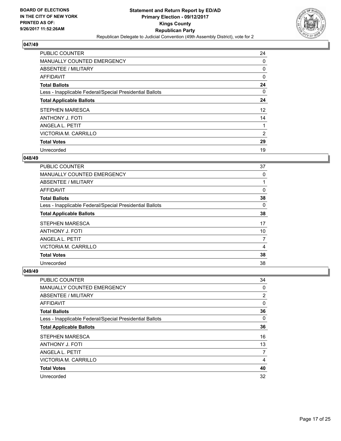

| <b>PUBLIC COUNTER</b>                                    | 24 |
|----------------------------------------------------------|----|
| <b>MANUALLY COUNTED EMERGENCY</b>                        | 0  |
| ABSENTEE / MILITARY                                      | 0  |
| <b>AFFIDAVIT</b>                                         | 0  |
| <b>Total Ballots</b>                                     | 24 |
| Less - Inapplicable Federal/Special Presidential Ballots | 0  |
| <b>Total Applicable Ballots</b>                          | 24 |
| <b>STEPHEN MARESCA</b>                                   | 12 |
| ANTHONY J. FOTI                                          | 14 |
| ANGELA L. PETIT                                          |    |
| VICTORIA M. CARRILLO                                     | 2  |
| <b>Total Votes</b>                                       | 29 |
| Unrecorded                                               | 19 |

## **048/49**

| PUBLIC COUNTER                                           | 37 |
|----------------------------------------------------------|----|
| <b>MANUALLY COUNTED EMERGENCY</b>                        | 0  |
| ABSENTEE / MILITARY                                      |    |
| AFFIDAVIT                                                | 0  |
| <b>Total Ballots</b>                                     | 38 |
| Less - Inapplicable Federal/Special Presidential Ballots | 0  |
| <b>Total Applicable Ballots</b>                          | 38 |
| <b>STEPHEN MARESCA</b>                                   | 17 |
| <b>ANTHONY J. FOTI</b>                                   | 10 |
| ANGELA L. PETIT                                          | 7  |
| VICTORIA M. CARRILLO                                     | 4  |
| <b>Total Votes</b>                                       | 38 |
| Unrecorded                                               | 38 |

| <b>PUBLIC COUNTER</b>                                    | 34 |
|----------------------------------------------------------|----|
| <b>MANUALLY COUNTED EMERGENCY</b>                        | 0  |
| ABSENTEE / MILITARY                                      | 2  |
| AFFIDAVIT                                                | 0  |
| <b>Total Ballots</b>                                     | 36 |
| Less - Inapplicable Federal/Special Presidential Ballots | 0  |
| <b>Total Applicable Ballots</b>                          | 36 |
| STEPHEN MARESCA                                          | 16 |
| <b>ANTHONY J. FOTI</b>                                   | 13 |
| ANGELA L. PETIT                                          | 7  |
| VICTORIA M. CARRILLO                                     | 4  |
| <b>Total Votes</b>                                       | 40 |
| Unrecorded                                               | 32 |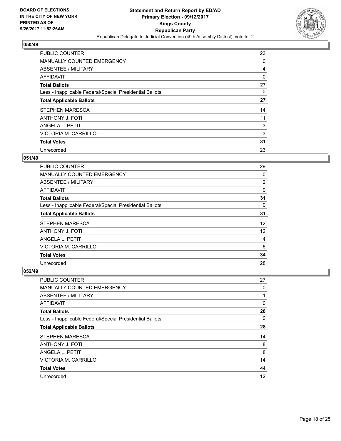

| <b>PUBLIC COUNTER</b>                                    | 23 |
|----------------------------------------------------------|----|
| <b>MANUALLY COUNTED EMERGENCY</b>                        | 0  |
| ABSENTEE / MILITARY                                      | 4  |
| AFFIDAVIT                                                | 0  |
| <b>Total Ballots</b>                                     | 27 |
| Less - Inapplicable Federal/Special Presidential Ballots | 0  |
| <b>Total Applicable Ballots</b>                          | 27 |
| <b>STEPHEN MARESCA</b>                                   | 14 |
| <b>ANTHONY J. FOTI</b>                                   | 11 |
| ANGELA L. PETIT                                          | 3  |
| VICTORIA M. CARRILLO                                     | 3  |
| <b>Total Votes</b>                                       | 31 |
| Unrecorded                                               | 23 |

## **051/49**

| PUBLIC COUNTER                                           | 29 |
|----------------------------------------------------------|----|
| <b>MANUALLY COUNTED EMERGENCY</b>                        | 0  |
| ABSENTEE / MILITARY                                      | 2  |
| <b>AFFIDAVIT</b>                                         | 0  |
| <b>Total Ballots</b>                                     | 31 |
| Less - Inapplicable Federal/Special Presidential Ballots | 0  |
| <b>Total Applicable Ballots</b>                          | 31 |
| STEPHEN MARESCA                                          | 12 |
| <b>ANTHONY J. FOTI</b>                                   | 12 |
| ANGELA L. PETIT                                          | 4  |
| VICTORIA M. CARRILLO                                     | 6  |
| <b>Total Votes</b>                                       | 34 |
| Unrecorded                                               | 28 |

| <b>PUBLIC COUNTER</b>                                    | 27 |
|----------------------------------------------------------|----|
| <b>MANUALLY COUNTED EMERGENCY</b>                        | 0  |
| ABSENTEE / MILITARY                                      | 1  |
| AFFIDAVIT                                                | 0  |
| <b>Total Ballots</b>                                     | 28 |
| Less - Inapplicable Federal/Special Presidential Ballots | 0  |
| <b>Total Applicable Ballots</b>                          | 28 |
| STEPHEN MARESCA                                          | 14 |
| <b>ANTHONY J. FOTI</b>                                   | 8  |
| ANGELA L. PETIT                                          | 8  |
| VICTORIA M. CARRILLO                                     | 14 |
| <b>Total Votes</b>                                       | 44 |
| Unrecorded                                               | 12 |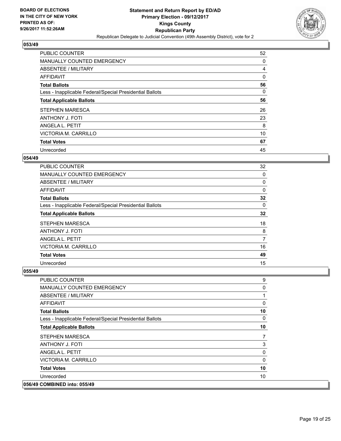

| <b>PUBLIC COUNTER</b>                                    | 52 |
|----------------------------------------------------------|----|
| <b>MANUALLY COUNTED EMERGENCY</b>                        | 0  |
| ABSENTEE / MILITARY                                      | 4  |
| <b>AFFIDAVIT</b>                                         | 0  |
| <b>Total Ballots</b>                                     | 56 |
| Less - Inapplicable Federal/Special Presidential Ballots | 0  |
| <b>Total Applicable Ballots</b>                          | 56 |
| <b>STEPHEN MARESCA</b>                                   | 26 |
| <b>ANTHONY J. FOTI</b>                                   | 23 |
| ANGELA L. PETIT                                          | 8  |
| VICTORIA M. CARRILLO                                     | 10 |
| <b>Total Votes</b>                                       | 67 |
| Unrecorded                                               | 45 |

## **054/49**

| <b>PUBLIC COUNTER</b>                                    | 32 |
|----------------------------------------------------------|----|
| <b>MANUALLY COUNTED EMERGENCY</b>                        | 0  |
| ABSENTEE / MILITARY                                      | 0  |
| <b>AFFIDAVIT</b>                                         | 0  |
| <b>Total Ballots</b>                                     | 32 |
| Less - Inapplicable Federal/Special Presidential Ballots | 0  |
| <b>Total Applicable Ballots</b>                          | 32 |
| STEPHEN MARESCA                                          | 18 |
| <b>ANTHONY J. FOTI</b>                                   | 8  |
| ANGELA L. PETIT                                          | 7  |
| VICTORIA M. CARRILLO                                     | 16 |
| <b>Total Votes</b>                                       | 49 |
| Unrecorded                                               | 15 |

| <b>PUBLIC COUNTER</b>                                    | 9              |
|----------------------------------------------------------|----------------|
| <b>MANUALLY COUNTED EMERGENCY</b>                        | 0              |
| ABSENTEE / MILITARY                                      | 1              |
| AFFIDAVIT                                                | 0              |
| <b>Total Ballots</b>                                     | 10             |
| Less - Inapplicable Federal/Special Presidential Ballots | $\Omega$       |
| <b>Total Applicable Ballots</b>                          | 10             |
| <b>STEPHEN MARESCA</b>                                   | $\overline{7}$ |
| <b>ANTHONY J. FOTI</b>                                   | 3              |
| <b>ANGELA L. PETIT</b>                                   | 0              |
| VICTORIA M. CARRILLO                                     | $\Omega$       |
| <b>Total Votes</b>                                       | 10             |
| Unrecorded                                               | 10             |
| 056/49 COMBINED into: 055/49                             |                |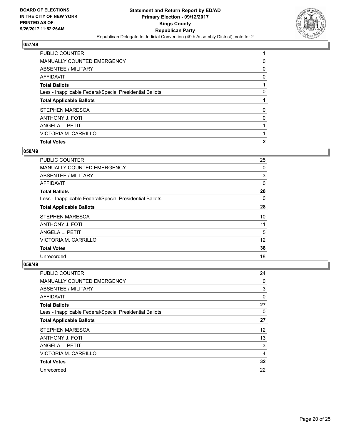

| <b>PUBLIC COUNTER</b>                                    |              |
|----------------------------------------------------------|--------------|
| MANUALLY COUNTED EMERGENCY                               | 0            |
| ABSENTEE / MILITARY                                      | 0            |
| AFFIDAVIT                                                | 0            |
| <b>Total Ballots</b>                                     |              |
| Less - Inapplicable Federal/Special Presidential Ballots | 0            |
| <b>Total Applicable Ballots</b>                          |              |
| <b>STEPHEN MARESCA</b>                                   | 0            |
| <b>ANTHONY J. FOTI</b>                                   | 0            |
| ANGELA L. PETIT                                          |              |
| VICTORIA M. CARRILLO                                     |              |
| <b>Total Votes</b>                                       | $\mathbf{2}$ |

## **058/49**

| <b>PUBLIC COUNTER</b>                                    | 25       |
|----------------------------------------------------------|----------|
| <b>MANUALLY COUNTED EMERGENCY</b>                        | 0        |
| ABSENTEE / MILITARY                                      | 3        |
| AFFIDAVIT                                                | 0        |
| <b>Total Ballots</b>                                     | 28       |
| Less - Inapplicable Federal/Special Presidential Ballots | $\Omega$ |
| <b>Total Applicable Ballots</b>                          | 28       |
| STEPHEN MARESCA                                          | 10       |
| <b>ANTHONY J. FOTI</b>                                   | 11       |
| ANGELA L. PETIT                                          | 5        |
| VICTORIA M. CARRILLO                                     | 12       |
| <b>Total Votes</b>                                       | 38       |
| Unrecorded                                               | 18       |

| <b>PUBLIC COUNTER</b>                                    | 24 |
|----------------------------------------------------------|----|
| <b>MANUALLY COUNTED EMERGENCY</b>                        | 0  |
| ABSENTEE / MILITARY                                      | 3  |
| AFFIDAVIT                                                | 0  |
| <b>Total Ballots</b>                                     | 27 |
| Less - Inapplicable Federal/Special Presidential Ballots | 0  |
| <b>Total Applicable Ballots</b>                          | 27 |
| <b>STEPHEN MARESCA</b>                                   | 12 |
| <b>ANTHONY J. FOTI</b>                                   | 13 |
| ANGELA L. PETIT                                          | 3  |
| VICTORIA M. CARRILLO                                     | 4  |
| <b>Total Votes</b>                                       | 32 |
| Unrecorded                                               | 22 |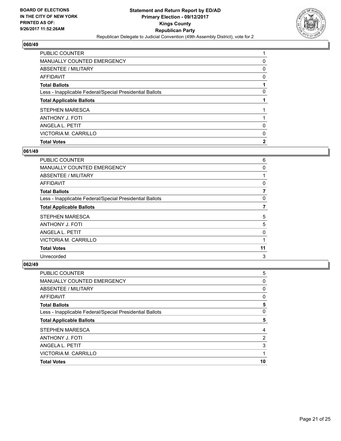

| <b>PUBLIC COUNTER</b>                                    |              |
|----------------------------------------------------------|--------------|
| MANUALLY COUNTED EMERGENCY                               | 0            |
| ABSENTEE / MILITARY                                      | 0            |
| AFFIDAVIT                                                | 0            |
| <b>Total Ballots</b>                                     |              |
| Less - Inapplicable Federal/Special Presidential Ballots | 0            |
| <b>Total Applicable Ballots</b>                          |              |
| <b>STEPHEN MARESCA</b>                                   |              |
| <b>ANTHONY J. FOTI</b>                                   |              |
| ANGELA L. PETIT                                          | 0            |
| VICTORIA M. CARRILLO                                     | 0            |
| <b>Total Votes</b>                                       | $\mathbf{2}$ |

## **061/49**

| <b>PUBLIC COUNTER</b>                                    | 6  |
|----------------------------------------------------------|----|
| <b>MANUALLY COUNTED EMERGENCY</b>                        | 0  |
| ABSENTEE / MILITARY                                      |    |
| AFFIDAVIT                                                | 0  |
| <b>Total Ballots</b>                                     |    |
| Less - Inapplicable Federal/Special Presidential Ballots | 0  |
| <b>Total Applicable Ballots</b>                          |    |
| <b>STEPHEN MARESCA</b>                                   | 5  |
| <b>ANTHONY J. FOTI</b>                                   | 5  |
| ANGELA L. PETIT                                          | 0  |
| VICTORIA M. CARRILLO                                     | 1  |
| <b>Total Votes</b>                                       | 11 |
| Unrecorded                                               | 3  |

| <b>PUBLIC COUNTER</b>                                    | 5              |
|----------------------------------------------------------|----------------|
| <b>MANUALLY COUNTED EMERGENCY</b>                        | 0              |
| ABSENTEE / MILITARY                                      | 0              |
| AFFIDAVIT                                                | 0              |
| <b>Total Ballots</b>                                     | 5              |
| Less - Inapplicable Federal/Special Presidential Ballots | 0              |
| <b>Total Applicable Ballots</b>                          | 5              |
| STEPHEN MARESCA                                          | 4              |
| <b>ANTHONY J. FOTI</b>                                   | $\overline{2}$ |
| ANGELA L. PETIT                                          | 3              |
| VICTORIA M. CARRILLO                                     |                |
| <b>Total Votes</b>                                       | 10             |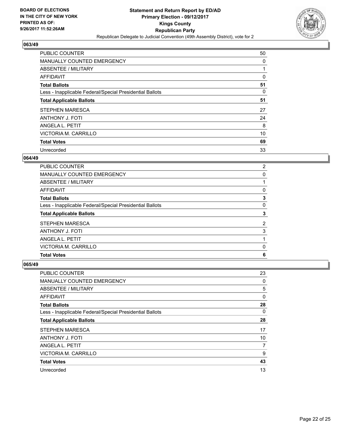

| <b>PUBLIC COUNTER</b>                                    | 50 |
|----------------------------------------------------------|----|
| MANUALLY COUNTED EMERGENCY                               | 0  |
| ABSENTEE / MILITARY                                      |    |
| <b>AFFIDAVIT</b>                                         | 0  |
| <b>Total Ballots</b>                                     | 51 |
| Less - Inapplicable Federal/Special Presidential Ballots | 0  |
| <b>Total Applicable Ballots</b>                          | 51 |
| STEPHEN MARESCA                                          | 27 |
| <b>ANTHONY J. FOTI</b>                                   | 24 |
| ANGELA L. PETIT                                          | 8  |
| VICTORIA M. CARRILLO                                     | 10 |
| <b>Total Votes</b>                                       | 69 |
| Unrecorded                                               | 33 |

#### **064/49**

| <b>PUBLIC COUNTER</b>                                    | $\mathbf{2}^{\prime}$ |
|----------------------------------------------------------|-----------------------|
| MANUALLY COUNTED EMERGENCY                               | 0                     |
| ABSENTEE / MILITARY                                      |                       |
| AFFIDAVIT                                                | 0                     |
| <b>Total Ballots</b>                                     | 3                     |
| Less - Inapplicable Federal/Special Presidential Ballots | 0                     |
| <b>Total Applicable Ballots</b>                          | 3                     |
| STEPHEN MARESCA                                          | 2                     |
| <b>ANTHONY J. FOTI</b>                                   | 3                     |
| ANGELA L. PETIT                                          |                       |
| VICTORIA M. CARRILLO                                     | 0                     |
| <b>Total Votes</b>                                       | 6                     |

| PUBLIC COUNTER                                           | 23 |
|----------------------------------------------------------|----|
| MANUALLY COUNTED EMERGENCY                               | 0  |
| ABSENTEE / MILITARY                                      | 5  |
| AFFIDAVIT                                                | 0  |
| <b>Total Ballots</b>                                     | 28 |
| Less - Inapplicable Federal/Special Presidential Ballots | 0  |
| <b>Total Applicable Ballots</b>                          | 28 |
| <b>STEPHEN MARESCA</b>                                   | 17 |
| <b>ANTHONY J. FOTI</b>                                   | 10 |
| ANGELA L. PETIT                                          | 7  |
| VICTORIA M. CARRILLO                                     | 9  |
| <b>Total Votes</b>                                       | 43 |
| Unrecorded                                               | 13 |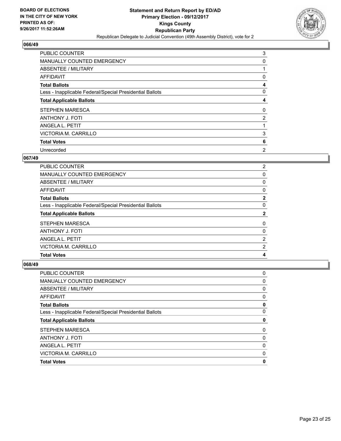

| <b>PUBLIC COUNTER</b>                                    | 3 |
|----------------------------------------------------------|---|
| MANUALLY COUNTED EMERGENCY                               | 0 |
| ABSENTEE / MILITARY                                      |   |
| AFFIDAVIT                                                | 0 |
| <b>Total Ballots</b>                                     | 4 |
| Less - Inapplicable Federal/Special Presidential Ballots | 0 |
| <b>Total Applicable Ballots</b>                          | 4 |
| STEPHEN MARESCA                                          | 0 |
| <b>ANTHONY J. FOTI</b>                                   | 2 |
| ANGELA L. PETIT                                          |   |
| VICTORIA M. CARRILLO                                     | 3 |
| <b>Total Votes</b>                                       | 6 |
| Unrecorded                                               | 2 |

#### **067/49**

| PUBLIC COUNTER                                           | $\mathbf{2}^{\prime}$ |
|----------------------------------------------------------|-----------------------|
| MANUALLY COUNTED EMERGENCY                               | 0                     |
| ABSENTEE / MILITARY                                      | 0                     |
| AFFIDAVIT                                                | 0                     |
| <b>Total Ballots</b>                                     | $\mathbf{2}$          |
| Less - Inapplicable Federal/Special Presidential Ballots | 0                     |
| <b>Total Applicable Ballots</b>                          | 2                     |
| <b>STEPHEN MARESCA</b>                                   | 0                     |
| ANTHONY J. FOTI                                          | 0                     |
| ANGELA L. PETIT                                          | 2                     |
| VICTORIA M. CARRILLO                                     | 2                     |
| <b>Total Votes</b>                                       | 4                     |

| PUBLIC COUNTER                                           | 0 |
|----------------------------------------------------------|---|
| <b>MANUALLY COUNTED EMERGENCY</b>                        | 0 |
| ABSENTEE / MILITARY                                      | 0 |
| <b>AFFIDAVIT</b>                                         | 0 |
| <b>Total Ballots</b>                                     | 0 |
| Less - Inapplicable Federal/Special Presidential Ballots | 0 |
| <b>Total Applicable Ballots</b>                          | 0 |
| <b>STEPHEN MARESCA</b>                                   | 0 |
| <b>ANTHONY J. FOTI</b>                                   | 0 |
| ANGELA L. PETIT                                          | 0 |
| VICTORIA M. CARRILLO                                     | 0 |
| <b>Total Votes</b>                                       | 0 |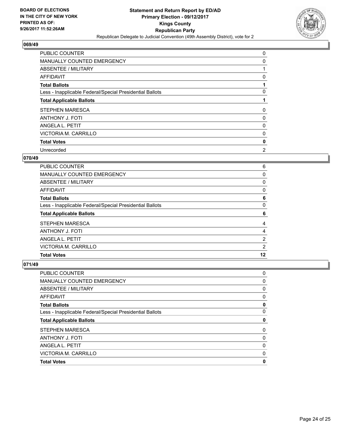

| <b>PUBLIC COUNTER</b>                                    | 0 |
|----------------------------------------------------------|---|
| MANUALLY COUNTED EMERGENCY                               | 0 |
| ABSENTEE / MILITARY                                      |   |
| AFFIDAVIT                                                | 0 |
| <b>Total Ballots</b>                                     |   |
| Less - Inapplicable Federal/Special Presidential Ballots | 0 |
| <b>Total Applicable Ballots</b>                          |   |
| <b>STEPHEN MARESCA</b>                                   | 0 |
| <b>ANTHONY J. FOTI</b>                                   | 0 |
| ANGELA L. PETIT                                          | 0 |
| VICTORIA M. CARRILLO                                     | 0 |
| <b>Total Votes</b>                                       | 0 |
| Unrecorded                                               | 2 |

## **070/49**

| PUBLIC COUNTER                                           | 6              |
|----------------------------------------------------------|----------------|
| MANUALLY COUNTED EMERGENCY                               | 0              |
| ABSENTEE / MILITARY                                      | 0              |
| AFFIDAVIT                                                | 0              |
| <b>Total Ballots</b>                                     | 6              |
| Less - Inapplicable Federal/Special Presidential Ballots | 0              |
| <b>Total Applicable Ballots</b>                          | 6              |
| <b>STEPHEN MARESCA</b>                                   | 4              |
| <b>ANTHONY J. FOTI</b>                                   | 4              |
| ANGELA L. PETIT                                          | $\overline{2}$ |
| VICTORIA M. CARRILLO                                     | 2              |
| <b>Total Votes</b>                                       | 12             |

| PUBLIC COUNTER                                           | 0 |
|----------------------------------------------------------|---|
| <b>MANUALLY COUNTED EMERGENCY</b>                        | 0 |
| ABSENTEE / MILITARY                                      | 0 |
| AFFIDAVIT                                                | 0 |
| <b>Total Ballots</b>                                     | 0 |
| Less - Inapplicable Federal/Special Presidential Ballots | 0 |
| <b>Total Applicable Ballots</b>                          | 0 |
| <b>STEPHEN MARESCA</b>                                   | 0 |
| <b>ANTHONY J. FOTI</b>                                   | 0 |
| ANGELA L. PETIT                                          | 0 |
| VICTORIA M. CARRILLO                                     | 0 |
| <b>Total Votes</b>                                       | 0 |